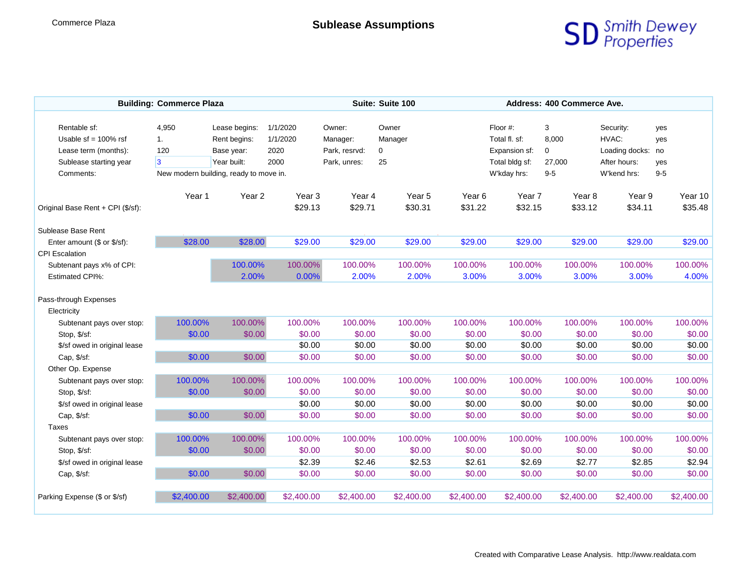

| <b>Building: Commerce Plaza</b>   |                |                                        |                   | Suite: Suite 100 |            |            | Address: 400 Commerce Ave. |            |                   |            |  |
|-----------------------------------|----------------|----------------------------------------|-------------------|------------------|------------|------------|----------------------------|------------|-------------------|------------|--|
| Rentable sf:                      | 4,950          | Lease begins:                          | 1/1/2020          | Owner:           | Owner      |            | Floor #:                   | 3          | Security:         | yes        |  |
| Usable $sf = 100\%$ rsf           | 1.             | Rent begins:                           | 1/1/2020          | Manager:         | Manager    |            | Total fl. sf:              | 8,000      | HVAC:             | yes        |  |
| Lease term (months):              | 120            | Base year:                             | 2020              | Park, resrvd:    | 0          |            | Expansion sf:              | 0          | Loading docks: no |            |  |
| Sublease starting year            | $\overline{3}$ | Year built:                            | 2000              | Park, unres:     | 25         |            | Total bldg sf:             | 27,000     | After hours:      | yes        |  |
| Comments:                         |                | New modern building, ready to move in. |                   |                  |            |            | W'kday hrs:                | $9-5$      | W'kend hrs:       | $9-5$      |  |
|                                   |                |                                        |                   |                  |            |            |                            |            |                   |            |  |
|                                   | Year 1         | Year <sub>2</sub>                      | Year <sub>3</sub> | Year 4           | Year 5     | Year 6     | Year 7                     | Year 8     | Year 9            | Year 10    |  |
| Original Base Rent + CPI (\$/sf): |                |                                        | \$29.13           | \$29.71          | \$30.31    | \$31.22    | \$32.15                    | \$33.12    | \$34.11           | \$35.48    |  |
| Sublease Base Rent                |                |                                        |                   |                  |            |            |                            |            |                   |            |  |
| Enter amount (\$ or \$/sf):       | \$28.00        | \$28.00                                | \$29.00           | \$29.00          | \$29.00    | \$29.00    | \$29.00                    | \$29.00    | \$29.00           | \$29.00    |  |
| <b>CPI Escalation</b>             |                |                                        |                   |                  |            |            |                            |            |                   |            |  |
| Subtenant pays x% of CPI:         |                | 100.00%                                | 100.00%           | 100.00%          | 100.00%    | 100.00%    | 100.00%                    | 100.00%    | 100.00%           | 100.00%    |  |
| <b>Estimated CPI%:</b>            |                | 2.00%                                  | 0.00%             | 2.00%            | 2.00%      | 3.00%      | 3.00%                      | 3.00%      | 3.00%             | 4.00%      |  |
|                                   |                |                                        |                   |                  |            |            |                            |            |                   |            |  |
| Pass-through Expenses             |                |                                        |                   |                  |            |            |                            |            |                   |            |  |
| Electricity                       |                |                                        |                   |                  |            |            |                            |            |                   |            |  |
| Subtenant pays over stop:         | 100.00%        | 100.00%                                | 100.00%           | 100.00%          | 100.00%    | 100.00%    | 100.00%                    | 100.00%    | 100.00%           | 100.00%    |  |
| Stop, \$/sf:                      | \$0.00         | \$0.00                                 | \$0.00            | \$0.00           | \$0.00     | \$0.00     | \$0.00                     | \$0.00     | \$0.00            | \$0.00     |  |
| \$/sf owed in original lease      |                |                                        | \$0.00            | \$0.00           | \$0.00     | \$0.00     | \$0.00                     | \$0.00     | \$0.00            | \$0.00     |  |
| Cap, \$/sf:                       | \$0.00         | \$0.00                                 | \$0.00            | \$0.00           | \$0.00     | \$0.00     | \$0.00                     | \$0.00     | \$0.00            | \$0.00     |  |
| Other Op. Expense                 |                |                                        |                   |                  |            |            |                            |            |                   |            |  |
| Subtenant pays over stop:         | 100.00%        | 100.00%                                | 100.00%           | 100.00%          | 100.00%    | 100.00%    | 100.00%                    | 100.00%    | 100.00%           | 100.00%    |  |
| Stop, \$/sf:                      | \$0.00         | \$0.00                                 | \$0.00            | \$0.00           | \$0.00     | \$0.00     | \$0.00                     | \$0.00     | \$0.00            | \$0.00     |  |
| \$/sf owed in original lease      |                |                                        | \$0.00            | \$0.00           | \$0.00     | \$0.00     | \$0.00                     | \$0.00     | \$0.00            | \$0.00     |  |
| Cap, \$/sf:                       | \$0.00         | \$0.00                                 | \$0.00            | \$0.00           | \$0.00     | \$0.00     | \$0.00                     | \$0.00     | \$0.00            | \$0.00     |  |
| Taxes                             |                |                                        |                   |                  |            |            |                            |            |                   |            |  |
| Subtenant pays over stop:         | 100.00%        | 100.00%                                | 100.00%           | 100.00%          | 100.00%    | 100.00%    | 100.00%                    | 100.00%    | 100.00%           | 100.00%    |  |
| Stop, \$/sf:                      | \$0.00         | \$0.00                                 | \$0.00            | \$0.00           | \$0.00     | \$0.00     | \$0.00                     | \$0.00     | \$0.00            | \$0.00     |  |
| \$/sf owed in original lease      |                |                                        | \$2.39            | \$2.46           | \$2.53     | \$2.61     | \$2.69                     | \$2.77     | \$2.85            | \$2.94     |  |
| Cap, \$/sf:                       | \$0.00         | \$0.00                                 | \$0.00            | \$0.00           | \$0.00     | \$0.00     | \$0.00                     | \$0.00     | \$0.00            | \$0.00     |  |
|                                   |                |                                        |                   |                  |            |            |                            |            |                   |            |  |
| Parking Expense (\$ or \$/sf)     | \$2,400.00     | \$2,400.00                             | \$2,400.00        | \$2,400.00       | \$2,400.00 | \$2,400.00 | \$2,400.00                 | \$2,400.00 | \$2,400.00        | \$2,400.00 |  |
|                                   |                |                                        |                   |                  |            |            |                            |            |                   |            |  |